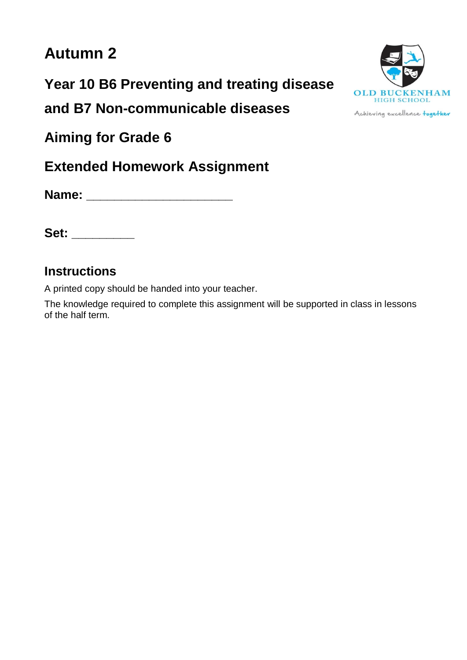# **Autumn 2**

**Year 10 B6 Preventing and treating disease**

**and B7 Non-communicable diseases**

**Aiming for Grade 6**

**Extended Homework Assignment**

**Name: \_\_\_\_\_\_\_\_\_\_\_\_\_\_\_\_\_\_\_\_\_**

**Set: \_\_\_\_\_\_\_\_\_**

## **Instructions**

A printed copy should be handed into your teacher.

The knowledge required to complete this assignment will be supported in class in lessons of the half term.



Achieving excellence together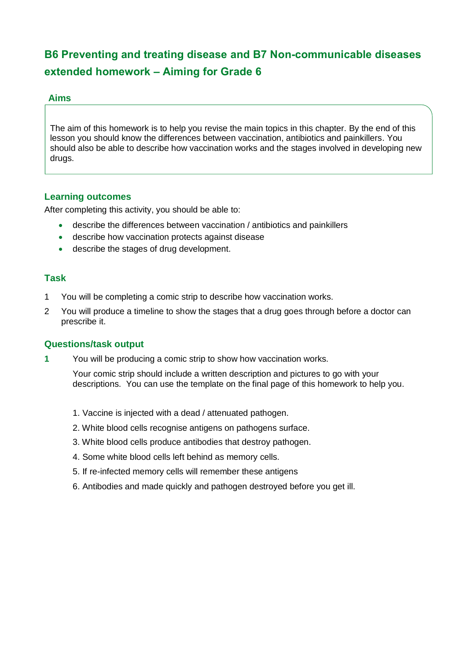## **B6 Preventing and treating disease and B7 Non-communicable diseases extended homework – Aiming for Grade 6**

#### **Aims**

The aim of this homework is to help you revise the main topics in this chapter. By the end of this lesson you should know the differences between vaccination, antibiotics and painkillers. You should also be able to describe how vaccination works and the stages involved in developing new drugs.

#### **Learning outcomes**

After completing this activity, you should be able to:

- describe the differences between vaccination / antibiotics and painkillers
- describe how vaccination protects against disease
- describe the stages of drug development.

### **Task**

- 1 You will be completing a comic strip to describe how vaccination works.
- 2 You will produce a timeline to show the stages that a drug goes through before a doctor can prescribe it.

#### **Questions/task output**

**1** You will be producing a comic strip to show how vaccination works.

Your comic strip should include a written description and pictures to go with your descriptions. You can use the template on the final page of this homework to help you.

- 1. Vaccine is injected with a dead / attenuated pathogen.
- 2. White blood cells recognise antigens on pathogens surface.
- 3. White blood cells produce antibodies that destroy pathogen.
- 4. Some white blood cells left behind as memory cells.
- 5. If re-infected memory cells will remember these antigens
- 6. Antibodies and made quickly and pathogen destroyed before you get ill.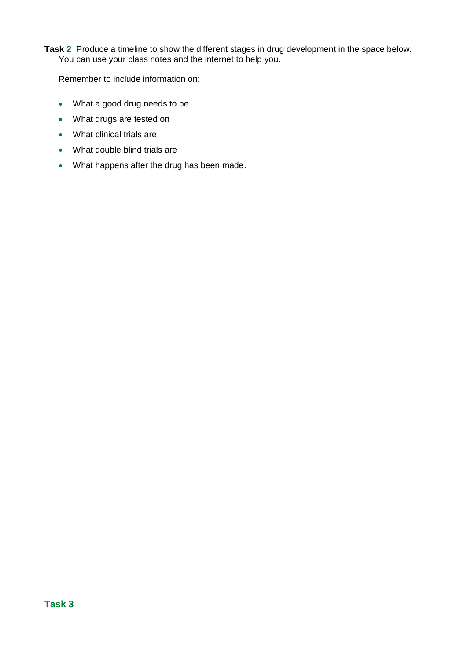**Task 2** Produce a timeline to show the different stages in drug development in the space below. You can use your class notes and the internet to help you.

Remember to include information on:

- What a good drug needs to be
- What drugs are tested on
- What clinical trials are
- What double blind trials are
- What happens after the drug has been made.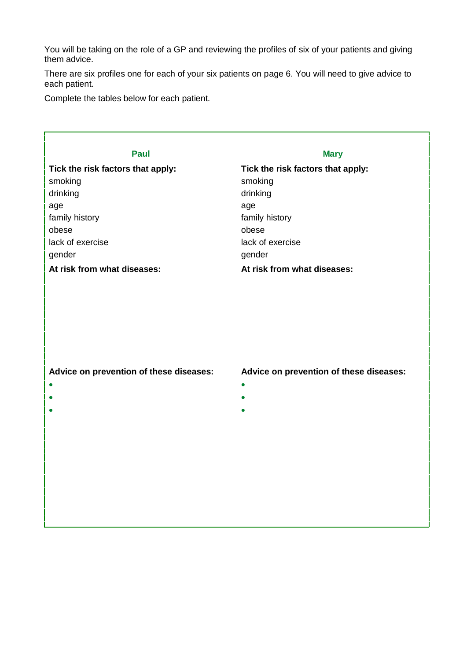You will be taking on the role of a GP and reviewing the profiles of six of your patients and giving them advice.

There are six profiles one for each of your six patients on page 6. You will need to give advice to each patient.

Complete the tables below for each patient.

| <b>Paul</b>                                          | <b>Mary</b>                                          |  |  |  |
|------------------------------------------------------|------------------------------------------------------|--|--|--|
| Tick the risk factors that apply:                    | Tick the risk factors that apply:                    |  |  |  |
| smoking                                              | smoking                                              |  |  |  |
| drinking                                             | drinking                                             |  |  |  |
| age                                                  | age                                                  |  |  |  |
| family history                                       | family history                                       |  |  |  |
| obese                                                | obese                                                |  |  |  |
| lack of exercise                                     | lack of exercise                                     |  |  |  |
| gender                                               | gender                                               |  |  |  |
| At risk from what diseases:                          | At risk from what diseases:                          |  |  |  |
| Advice on prevention of these diseases:<br>$\bullet$ | Advice on prevention of these diseases:<br>$\bullet$ |  |  |  |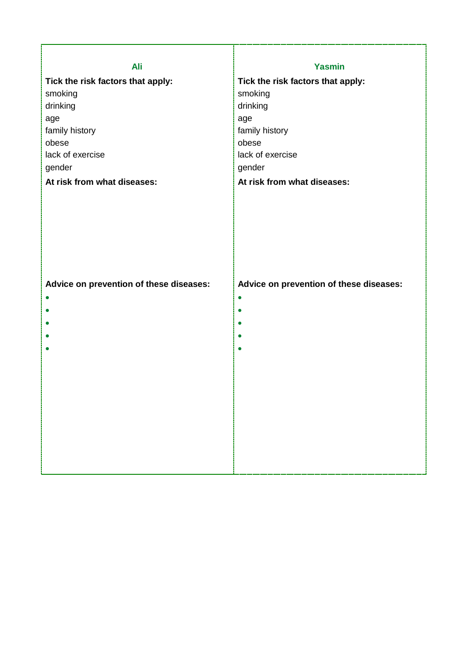| <b>Yasmin</b>                                        |  |  |
|------------------------------------------------------|--|--|
| Tick the risk factors that apply:                    |  |  |
| smoking                                              |  |  |
| drinking                                             |  |  |
| age                                                  |  |  |
| family history                                       |  |  |
| obese                                                |  |  |
| lack of exercise                                     |  |  |
| gender                                               |  |  |
| At risk from what diseases:                          |  |  |
| Advice on prevention of these diseases:<br>$\bullet$ |  |  |
|                                                      |  |  |

Г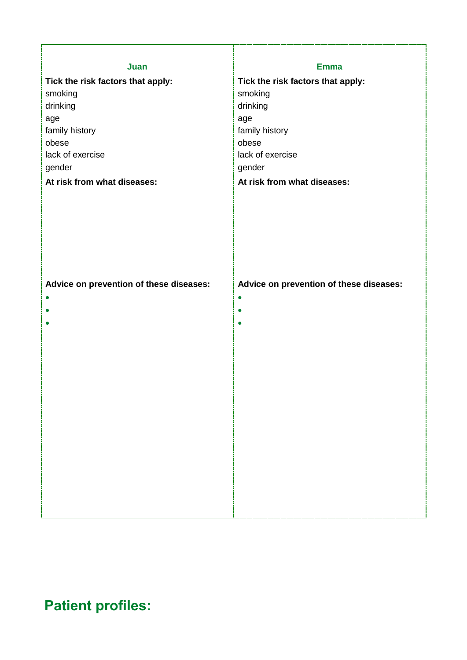| Juan                                    |                                         |  |  |  |
|-----------------------------------------|-----------------------------------------|--|--|--|
|                                         | <b>Emma</b>                             |  |  |  |
| Tick the risk factors that apply:       | Tick the risk factors that apply:       |  |  |  |
| smoking<br>drinking                     | smoking                                 |  |  |  |
| age                                     | drinking                                |  |  |  |
| family history                          | age<br>family history                   |  |  |  |
| obese                                   | obese                                   |  |  |  |
| lack of exercise                        | lack of exercise                        |  |  |  |
| gender                                  | gender                                  |  |  |  |
| At risk from what diseases:             | At risk from what diseases:             |  |  |  |
|                                         |                                         |  |  |  |
|                                         |                                         |  |  |  |
|                                         |                                         |  |  |  |
|                                         |                                         |  |  |  |
|                                         |                                         |  |  |  |
|                                         |                                         |  |  |  |
|                                         |                                         |  |  |  |
|                                         |                                         |  |  |  |
| Advice on prevention of these diseases: | Advice on prevention of these diseases: |  |  |  |
|                                         | $\bullet$                               |  |  |  |
|                                         | $\bullet$                               |  |  |  |
|                                         | $\bullet$                               |  |  |  |
|                                         |                                         |  |  |  |
|                                         |                                         |  |  |  |
|                                         |                                         |  |  |  |
|                                         |                                         |  |  |  |
|                                         |                                         |  |  |  |
|                                         |                                         |  |  |  |
|                                         |                                         |  |  |  |
|                                         |                                         |  |  |  |
|                                         |                                         |  |  |  |
|                                         |                                         |  |  |  |
|                                         |                                         |  |  |  |
|                                         |                                         |  |  |  |
|                                         |                                         |  |  |  |
|                                         |                                         |  |  |  |
|                                         |                                         |  |  |  |

**Patient profiles:**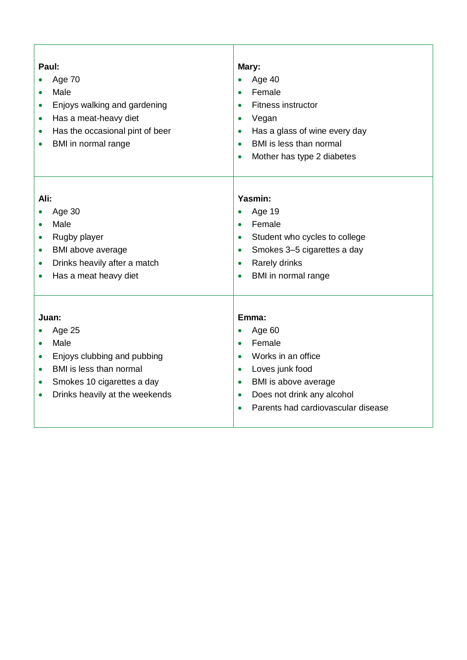| Paul:<br>Age 70<br>Male<br>$\bullet$<br>Enjoys walking and gardening<br>$\bullet$<br>Has a meat-heavy diet<br>$\bullet$<br>Has the occasional pint of beer<br>$\bullet$<br>BMI in normal range<br>$\bullet$        | Mary:<br>Age 40<br>$\bullet$<br>Female<br>$\bullet$<br>Fitness instructor<br>$\bullet$<br>Vegan<br>$\bullet$<br>Has a glass of wine every day<br>$\bullet$<br>BMI is less than normal<br>$\bullet$<br>Mother has type 2 diabetes<br>$\bullet$             |  |  |
|--------------------------------------------------------------------------------------------------------------------------------------------------------------------------------------------------------------------|-----------------------------------------------------------------------------------------------------------------------------------------------------------------------------------------------------------------------------------------------------------|--|--|
| Ali:<br>Age 30<br>Male<br>Rugby player<br>$\bullet$<br>BMI above average<br>$\bullet$<br>Drinks heavily after a match<br>$\bullet$<br>Has a meat heavy diet                                                        | Yasmin:<br>Age 19<br>$\bullet$<br>Female<br>$\bullet$<br>Student who cycles to college<br>$\bullet$<br>Smokes 3-5 cigarettes a day<br>$\bullet$<br>Rarely drinks<br>$\bullet$<br>BMI in normal range<br>$\bullet$                                         |  |  |
| Juan:<br>Age 25<br>Male<br>$\bullet$<br>Enjoys clubbing and pubbing<br>$\bullet$<br>BMI is less than normal<br>$\bullet$<br>Smokes 10 cigarettes a day<br>$\bullet$<br>Drinks heavily at the weekends<br>$\bullet$ | Emma:<br>Age 60<br>$\bullet$<br>Female<br>$\bullet$<br>Works in an office<br>$\bullet$<br>Loves junk food<br>$\bullet$<br>BMI is above average<br>$\bullet$<br>Does not drink any alcohol<br>$\bullet$<br>Parents had cardiovascular disease<br>$\bullet$ |  |  |